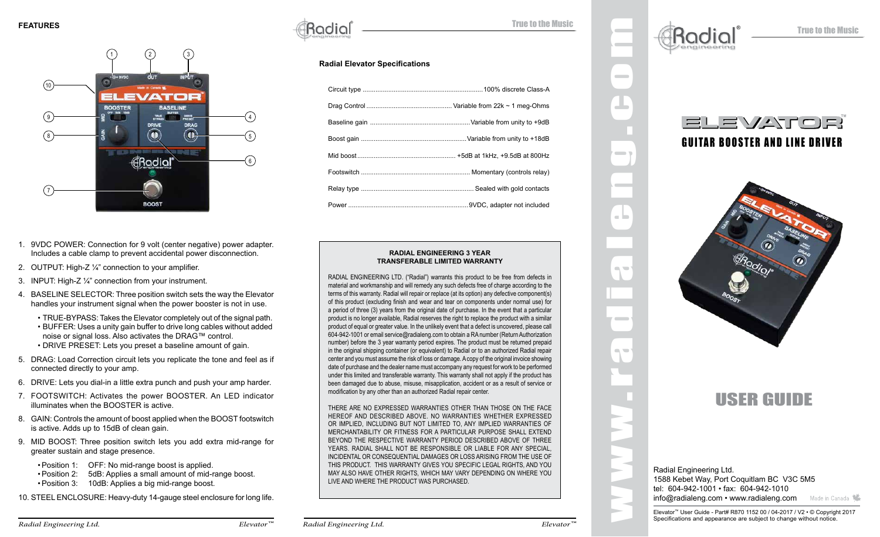

- 1. 9VDC POWER: Connection for 9 volt (center negative) power adapter. Includes a cable clamp to prevent accidental power disconnection.
- 2. OUTPUT: High-Z ¼" connection to your amplifier.
- 3. INPUT: High-Z ¼" connection from your instrument.
- 4. BASELINE SELECTOR: Three position switch sets the way the Elevator handles your instrument signal when the power booster is not in use.
	- TRUE-BYPASS: Takes the Elevator completely out of the signal path.
	- BUFFER: Uses a unity gain buffer to drive long cables without added noise or signal loss. Also activates the DRAG™ control. • DRIVE PRESET: Lets you preset a baseline amount of gain.
- 5. DRAG: Load Correction circuit lets you replicate the tone and feel as if connected directly to your amp.
- 6. DRIVE: Lets you dial-in a little extra punch and push your amp harder.
- 7. FOOTSWITCH: Activates the power BOOSTER. An LED indicator illuminates when the BOOSTER is active.
- 8. GAIN: Controls the amount of boost applied when the BOOST footswitch is active. Adds up to 15dB of clean gain.
- 9. MID BOOST: Three position switch lets you add extra mid-range for greater sustain and stage presence.
	- •Position 1: OFF: No mid-range boost is applied.
	- •Position 2: 5dB: Applies a small amount of mid-range boost.
	- •Position 3: 10dB: Applies a big mid-range boost.
- 10. STEEL ENCLOSURE: Heavy-duty 14-gauge steel enclosure for long life.

 $\operatorname{Radial}$   $\blacksquare$ 

#### **Radial Elevator Specifications**

#### **RADIAL ENGINEERING 3 YEAR TRANSFERABLE LIMITED WARRANTY**

RADIAL ENGINEERING LTD. ("Radial") warrants this product to be free from defects in material and workmanship and will remedy any such defects free of charge according to the terms of this warranty. Radial will repair or replace (at its option) any defective component(s) of this product (excluding finish and wear and tear on components under normal use) for a period of three (3) years from the original date of purchase. In the event that a particular product is no longer available, Radial reserves the right to replace the product with a similar product of equal or greater value. In the unlikely event that a defect is uncovered, please call 604-942-1001 or email service@radialeng.com to obtain a RA number (Return Authorization number) before the 3 year warranty period expires. The product must be returned prepaid in the original shipping container (or equivalent) to Radial or to an authorized Radial repair center and you must assume the risk of loss or damage. A copy of the original invoice showing date of purchase and the dealer name must accompany any request for work to be performed under this limited and transferable warranty. This warranty shall not apply if the product has been damaged due to abuse, misuse, misapplication, accident or as a result of service or modification by any other than an authorized Radial repair center.

THERE ARE NO EXPRESSED WARRANTIES OTHER THAN THOSE ON THE FACE HEREOF AND DESCRIBED ABOVE. NO WARRANTIES WHETHER EXPRESSED OR IMPLIED, INCLUDING BUT NOT LIMITED TO, ANY IMPLIED WARRANTIES OF MERCHANTABILITY OR FITNESS FOR A PARTICULAR PURPOSE SHALL EXTEND BEYOND THE RESPECTIVE WARRANTY PERIOD DESCRIBED ABOVE OF THREE YEARS. RADIAL SHALL NOT BE RESPONSIBLE OR LIABLE FOR ANY SPECIAL, INCIDENTAL OR CONSEQUENTIAL DAMAGES OR LOSS ARISING FROM THE USE OF THIS PRODUCT. THIS WARRANTY GIVES YOU SPECIFIC LEGAL RIGHTS, AND YOU MAY ALSO HAVE OTHER RIGHTS, WHICH MAY VARY DEPENDING ON WHERE YOU LIVE AND WHERE THE PRODUCT WAS PURCHASED.



www.radialeng.com

 $\sim$ 

 $\Box$ 

 $\alpha_{\rm c}$ 

 $\sim$ 

 $\blacksquare$ 



### $=$   $=$   $\sqrt{2}$   $\pm$   $\pm$   $\pm$   $\pm$   $\pm$ GUITAR BOOSTER AND LINE DRIVER

®



## USER GUIDE

Radial Engineering Ltd. 1588 Kebet Way, Port Coquitlam BC V3C 5M5 tel: 604-942-1001 • fax: 604-942-1010 info@radialeng.com • www.radialeng.com Made in Canada

*Radial Engineering Ltd. Elevator™ Elevator™*

*Radial Engineering Ltd.*

Elevator™ User Guide - Part# R870 1152 00 / 04-2017 / V2 • © Copyright 2017 Specifications and appearance are subject to change without notice.